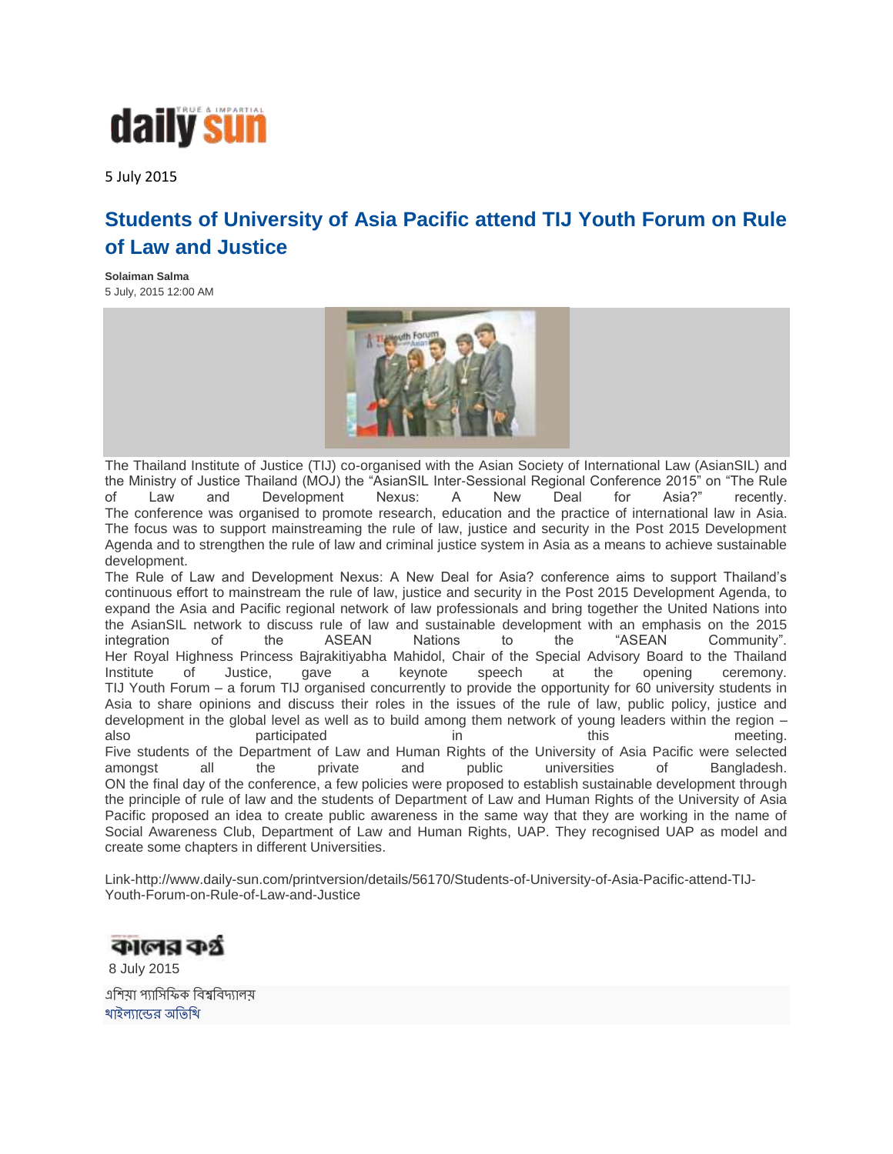

5 July 2015

## **Students of University of Asia Pacific attend TIJ Youth Forum on Rule of Law and Justice**

**Solaiman Salma** 5 July, 2015 12:00 AM



The Thailand Institute of Justice (TIJ) co-organised with the Asian Society of International Law (AsianSIL) and the Ministry of Justice Thailand (MOJ) the "AsianSIL Inter-Sessional Regional Conference 2015" on "The Rule<br>of Law and Development Nexus: A New Deal for Asia?" recently. of Law and Development Nexus: A New Deal for Asia?" recently. The conference was organised to promote research, education and the practice of international law in Asia. The focus was to support mainstreaming the rule of law, justice and security in the Post 2015 Development Agenda and to strengthen the rule of law and criminal justice system in Asia as a means to achieve sustainable development.

The Rule of Law and Development Nexus: A New Deal for Asia? conference aims to support Thailand's continuous effort to mainstream the rule of law, justice and security in the Post 2015 Development Agenda, to expand the Asia and Pacific regional network of law professionals and bring together the United Nations into the AsianSIL network to discuss rule of law and sustainable development with an emphasis on the 2015<br>integration of the ASEAN Nations to the "ASEAN Community". integration of the ASEAN Nations to the "ASEAN Community". Her Royal Highness Princess Bajrakitiyabha Mahidol, Chair of the Special Advisory Board to the Thailand Institute of Justice, gave a keynote speech at the opening ceremony. TIJ Youth Forum – a forum TIJ organised concurrently to provide the opportunity for 60 university students in Asia to share opinions and discuss their roles in the issues of the rule of law, public policy, justice and development in the global level as well as to build among them network of young leaders within the region – also **participated** in this meeting. Five students of the Department of Law and Human Rights of the University of Asia Pacific were selected amongst all the private and public universities of Bangladesh. ON the final day of the conference, a few policies were proposed to establish sustainable development through the principle of rule of law and the students of Department of Law and Human Rights of the University of Asia Pacific proposed an idea to create public awareness in the same way that they are working in the name of Social Awareness Club, Department of Law and Human Rights, UAP. They recognised UAP as model and create some chapters in different Universities.

Link-http://www.daily-sun.com/printversion/details/56170/Students-of-University-of-Asia-Pacific-attend-TIJ-Youth-Forum-on-Rule-of-Law-and-Justice

কালের কর্গ্র 8 July 2015 এশিয়া প্যাসিফিক বিশ্ববিদ্যালয় থাইল্যান্ডের অতিথি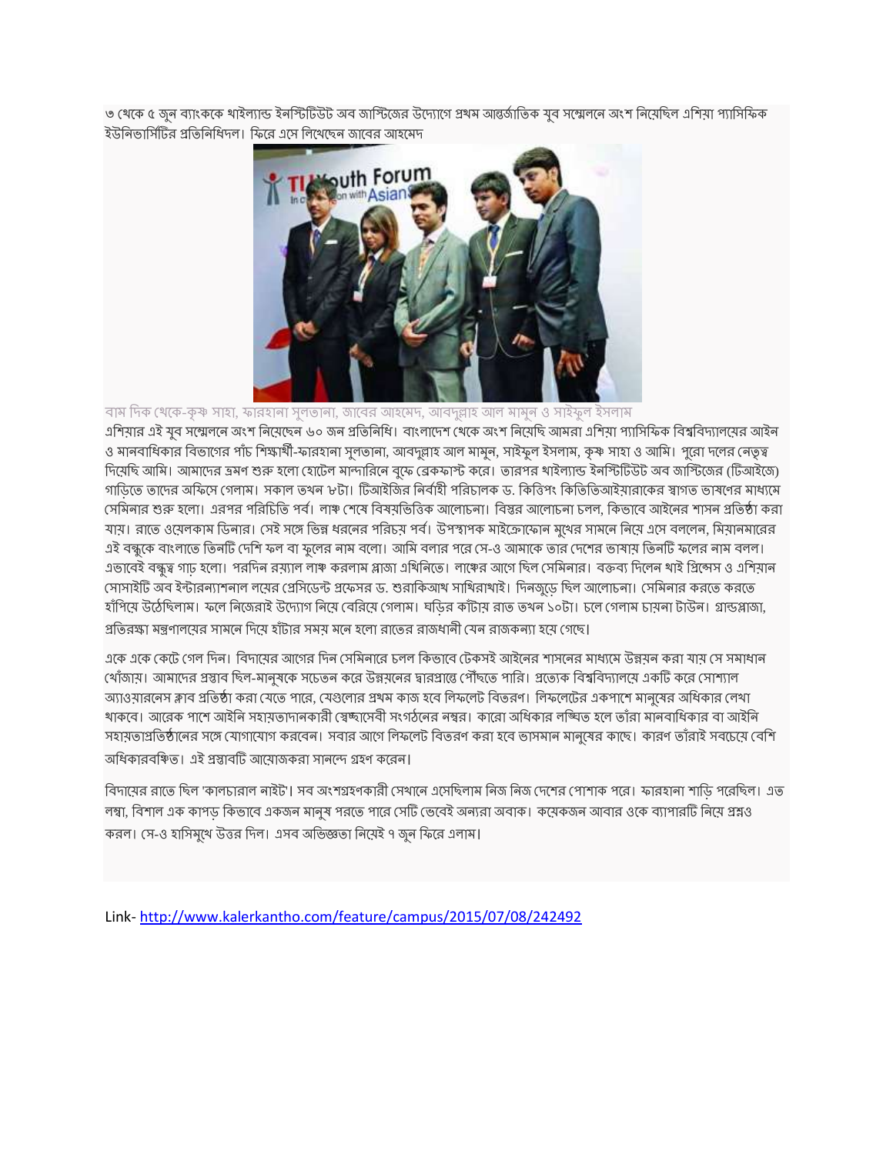৩ থেকে ৫ জুন ব্যাংককে থাইল্যান্ড ইনস্টিটিউট অব জাস্টিজের উদ্যোগে প্রথম আন্তর্জাতিক যুব সম্মেলনে অংশ নিয়েছিল এশিয়া প্যাসিফিক ইউনিভার্সিটির প্রতিনিধিদল। ফিরে এসে লিখেছেন জাবের আহমেদ



বাম দিক খেকে-কৃষ্ণ সাহা, ফারহানা সুলতানা, জাবের আহমেদ, আবদুল্লাহ আল মামুন ও সাইফুল ইসলাম এশিয়ার এই যুব সম্মেলনে অংশ নিয়েছেন ৬০ জন প্রতিনিধি। বাংলাদেশ থেকে অংশ নিয়েছি আমরা এশিয়া প্যাসিফিক বিশ্ববিদ্যালয়ের আইন ও মানবাধিকার বিভাগের পাঁচ শিক্ষার্থী-ফারহানা সুলতানা, আবদুল্লাহ আল মামুন, সাইফুল ইসলাম, কৃষ্ণ সাহা ও আমি। পুরো দলের নেতৃত্ব দিমেছি আমি। আমাদের ভ্রমণ শুরু হলো হোটেল মান্দারিনে বুফে ব্রেকফাস্ট করে। তারপর থাইল্যান্ড ইনস্টিটিউট অব জাস্টিজের (টিআইজে) গাডিতে তাদের অফিসে গেলাম। সকাল তখন ৮টা। টিআইজির নির্বাহী পরিচালক ড. কিত্তিগং কিতিতিআইয়ারাকের স্বাগত ভাষণের মাধ্যমে সেমিনার শুরু হলো। এরপর পরিচিতি পর্ব। লাঞ্চ শেষে বিষয়ভিত্তিক আলোচনা। বিস্তর আলোচনা চলল, কিভাবে আইনের শাসন প্রতিষ্ঠা করা যায়। রাতে ওয়েলকাম ডিনার। সেই সঙ্গে ভিন্ন ধরনের পরিচয় পর্ব। উপস্থাপক মাইক্রোফোন মুথের সামনে নিয়ে এসে বললেন, মিয়ানমারের এই বন্ধুকে বাংলাতে তিনটি দেশি ফল বা ফুলের নাম বলো। আমি বলার পরে সে-ও আমাকে তার দেশের ভাষায় তিনটি ফলের নাম বলল। এভাবেই বন্ধুত্ব গাঢ় হলো। পরদিন রয়্যাল লাঞ্চ করলাম প্লাজা এখিনিতে। লাঞ্চের আগে ছিল সেমিনার। বক্তব্য দিলেন থাই প্রিন্সেস ও এশিয়ান সোসাইটি অব ইন্টারন্যাশনাল লয়ের প্রেসিডেন্ট প্রফেসর ড. শুরাকিআখ সাথিরাথাই। দিনজুড়ে ছিল আলোচনা। সেমিনার করতে করতে হাঁপিয়ে উঠেছিলাম। ফলে নিজেরাই উদ্যোগ নিয়ে বেরিয়ে গেলাম। ঘডির কাঁটায় রাত তথন ১০টা। চলে গেলাম চায়না টাউন। গ্রান্ডপ্লাজা, প্রতিরক্ষা মন্ত্রণালযের সামনে দিযে হাঁটার সময মনে হলো রাতের রাজধানী যেন রাজকন্যা হযে গেছে।

একে একে কেটে গেল দিন। বিদায়ের আগের দিন সেমিনারে চলল কিভাবে টেকসই আইনের শাসনের মাধ্যমে উন্নয়ন করা যায় সে সমাধান থোঁজায়। আমাদের প্রস্তাব ছিল-মানুষকে সচেতন করে উন্নয়নের দ্বারপ্রান্তে পৌেছতে পারি। প্রত্যেক বিশ্ববিদ্যালয়ে একটি করে সোশ্যাল অ্যাওয়ারনেস ক্লাব প্রতিষ্ঠা করা যেতে পারে, যেগুলোর প্রথম কাজ হবে লিফলেট বিতরণ। লিফলেটের একপাশে মানুষের অধিকার লেখা থাকবে। আরেক পাশে আইনি সহামতাদানকারী স্বেচ্ছাসেবী সংগঠনের নম্বর। কারো অধিকার লঙ্ঘিত হলে তাঁরা মানবাধিকার বা আইনি সহায়তাপ্রতিষ্ঠানের সঙ্গে যোগাযোগ করবেন। সবার আগে লিফলেট বিতরণ করা হবে ভাসমান মানুষের কাছে। কারণ তাঁরাই সবচেয়ে বেশি অধিকারবঞ্চিত। এই প্রস্তাবটি আয়োজকরা সানন্দে গ্রহণ করেন।

বিদায়ের রাতে ছিল 'কালচারাল নাইট'। সব অংশগ্রহণকারী সেথানে এসেছিলাম নিজ নিজ দেশের পোশাক পরে। ফারহানা শাড়ি পরেছিল। এত লম্বা, বিশাল এক কাপড কিভাবে একজন মানুষ পরতে পারে সেটি ভেবেই অন্যরা অবাক। কমেকজন আবার ওকে ব্যাপারটি নিয়ে প্রশ্নও করল। সে-ও হাসিমুথে উত্তর দিল। এসব অভিজ্ঞতা নিমেই ৭ জুন ফিরে এলাম।

Link- <http://www.kalerkantho.com/feature/campus/2015/07/08/242492>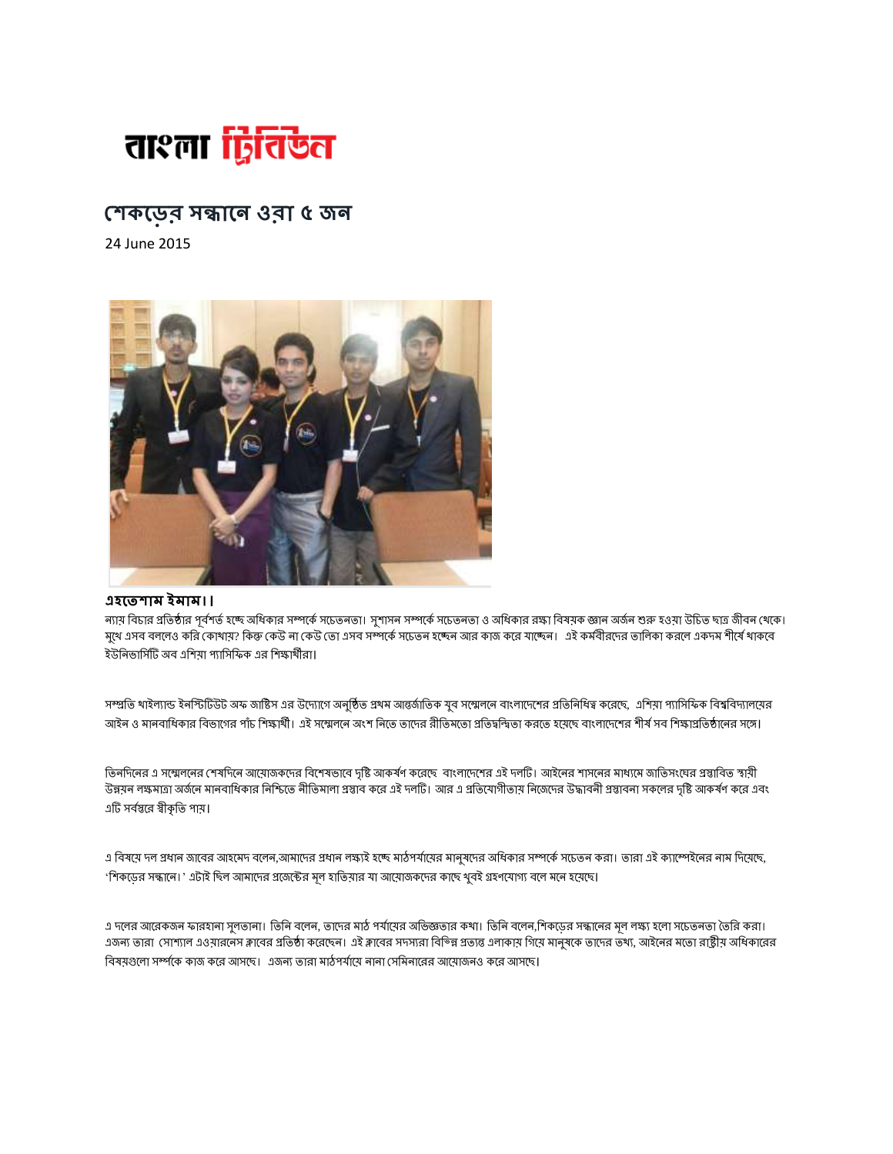

## **৫ জ**

24 June 2015



## **।**

ন্যায় বিচার প্রতিষ্ঠার পূর্বশর্ত হচ্ছে অধিকার সম্পর্কে সচেতনতা। সুশাসন সম্পর্কে সচেতনতা ও অধিকার রক্ষা বিষয়ক জ্ঞান অর্জন শুরু হওয়া উচিত ছাত্র জীবন থেকে। মুখে এসব বললেও করি কোখাম? কিন্তু কেউ না কেউ তো এসব সম্পর্কে সচেতন হচ্ছেন আর কাজ করে যাচ্ছেন। এই কর্মবীরদের তালিকা করলে একদম শীর্ষে থাকবে ইউনিভার্সিটি অব এশিযা প্যাসিফিক এর শিক্ষার্থীরা।

সম্প্রতি থাইল্যান্ড ইনস্টিটিউট অফ জাষ্টিস এর উদ্যোগে অনুষ্ঠিত প্রথম আন্তর্জাতিক যুব সম্মেলে বাংলাদেশের প্রতিনিধিত্ব করেছে, এশিয়া প্যাসিফিক বিশ্ববিদ্যালয়ের আইন ও মানবাধিকার বিভাগের পাঁচ শিক্ষার্থী। এই সম্মেলনে অংশ নিতে তাদের রীতিমতো প্রতিদ্বন্দ্বিতা করতে হয়েছে বাংলাদেশের শীর্ষ সব শিক্ষাপ্রতিষ্ঠানের সঙ্গে।

তিনদিনের এ সম্মেলনের শেষদিনে আয়োজকদের বিশেষভাবে দৃষ্টি আকর্ষণ করেছে বাংলাদেশের এই দলটি। আইনের শাসনের মাধ্যমে জাতিসংঘের প্রস্তাবিত স্বামী উন্নয়ন লক্ষমাত্রা অর্জনে মানবাধিকার নিশ্চিতে নীতিমালা প্রস্তাব করে এই দলটি। আর এ প্রতিযোগীতাম নিজেদের উদ্ধাবনী প্রস্তাবনা সকলের দৃষ্টি আকর্ষণ করে এবং এটি সর্বস্তুরে স্বীকৃতি পায়।

এ বিষয়ে দল প্রধান জাবের আহমেদ বলেন,আমাদের প্রধান লক্ষ্যই হচ্ছে মাঠপর্যায়ের মানুষদের অধিকার সম্পর্কে সদ্ভোক করা। তারা এই ক্যাম্পেইনের নাম দিয়েছে, 'শিকডের সন্ধানে। ' এটাই ছিল আমাদের প্রজেক্টের মূল হাতিয়ার যা আয়োজকদের কাছে থুবই গ্রহণযোগ্য বলে মনে হয়েছে।

এ দলের আরেকজন ফারহানা সুলতানা। তিনি বলেন, তাদের মাঠ পর্যায়ের অভিজ্ঞতার কথা। তিনি বলেন,শিকডের সন্ধানের মূল লক্ষ্য হলো সচেতনতা তৈরি করা। এজন্য তারা সোশ্যাল এওয়ারনেস ক্লাবের প্রতিষ্ঠা করেছেন। এই ক্লাবের সদসরা বিভিন্ন প্রত্যন্ত গুলে সামুষকে তাদের তখ্য, আইনের মতো রাষ্ট্রীয় অধিকারের বিষয়গুলো সর্ম্পকে কাজ করে আসছে। এজন্য তারা মাঠপর্যায়ে নানা সেমিনারের আয়োজনও করে আসছে।